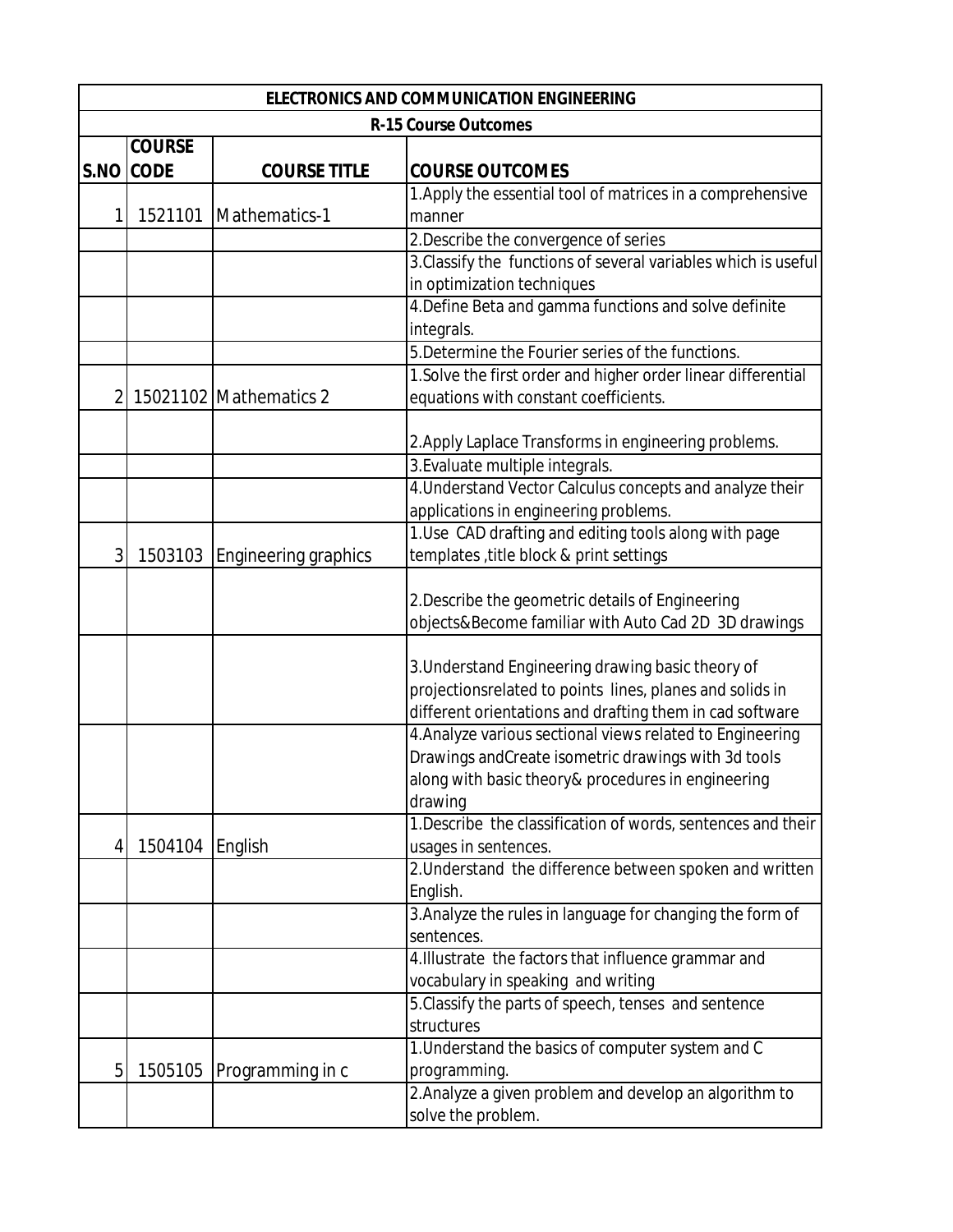| <b>ELECTRONICS AND COMMUNICATION ENGINEERING</b><br><b>R-15 Course Outcomes</b> |         |                             |                                                                |  |
|---------------------------------------------------------------------------------|---------|-----------------------------|----------------------------------------------------------------|--|
|                                                                                 |         |                             |                                                                |  |
|                                                                                 |         |                             | 1. Apply the essential tool of matrices in a comprehensive     |  |
| 1                                                                               | 1521101 | Mathematics-1               | manner                                                         |  |
|                                                                                 |         |                             | 2. Describe the convergence of series                          |  |
|                                                                                 |         |                             | 3. Classify the functions of several variables which is useful |  |
|                                                                                 |         |                             | in optimization techniques                                     |  |
|                                                                                 |         |                             | 4. Define Beta and gamma functions and solve definite          |  |
|                                                                                 |         |                             | integrals.                                                     |  |
|                                                                                 |         |                             | 5. Determine the Fourier series of the functions.              |  |
|                                                                                 |         |                             | 1. Solve the first order and higher order linear differential  |  |
| $\overline{2}$                                                                  |         | 15021102 Mathematics 2      | equations with constant coefficients.                          |  |
|                                                                                 |         |                             |                                                                |  |
|                                                                                 |         |                             | 2. Apply Laplace Transforms in engineering problems.           |  |
|                                                                                 |         |                             | 3. Evaluate multiple integrals.                                |  |
|                                                                                 |         |                             | 4. Understand Vector Calculus concepts and analyze their       |  |
|                                                                                 |         |                             | applications in engineering problems.                          |  |
|                                                                                 |         |                             | 1. Use CAD drafting and editing tools along with page          |  |
| 3                                                                               | 1503103 | <b>Engineering graphics</b> | templates , title block & print settings                       |  |
|                                                                                 |         |                             | 2. Describe the geometric details of Engineering               |  |
|                                                                                 |         |                             | objects&Become familiar with Auto Cad 2D 3D drawings           |  |
|                                                                                 |         |                             |                                                                |  |
|                                                                                 |         |                             | 3. Understand Engineering drawing basic theory of              |  |
|                                                                                 |         |                             | projectionsrelated to points lines, planes and solids in       |  |
|                                                                                 |         |                             | different orientations and drafting them in cad software       |  |
|                                                                                 |         |                             | 4. Analyze various sectional views related to Engineering      |  |
|                                                                                 |         |                             | Drawings andCreate isometric drawings with 3d tools            |  |
|                                                                                 |         |                             | along with basic theory& procedures in engineering             |  |
|                                                                                 |         |                             | drawing                                                        |  |
|                                                                                 |         |                             | 1. Describe the classification of words, sentences and their   |  |
| 4                                                                               | 1504104 | English                     | usages in sentences.                                           |  |
|                                                                                 |         |                             | 2. Understand the difference between spoken and written        |  |
|                                                                                 |         |                             | English.                                                       |  |
|                                                                                 |         |                             | 3. Analyze the rules in language for changing the form of      |  |
|                                                                                 |         |                             | sentences.                                                     |  |
|                                                                                 |         |                             | 4. Illustrate the factors that influence grammar and           |  |
|                                                                                 |         |                             | vocabulary in speaking and writing                             |  |
|                                                                                 |         |                             | 5. Classify the parts of speech, tenses and sentence           |  |
|                                                                                 |         |                             | structures                                                     |  |
|                                                                                 |         |                             | 1. Understand the basics of computer system and C              |  |
| 5                                                                               | 1505105 | Programming in c            | programming.                                                   |  |
|                                                                                 |         |                             | 2. Analyze a given problem and develop an algorithm to         |  |
|                                                                                 |         |                             | solve the problem.                                             |  |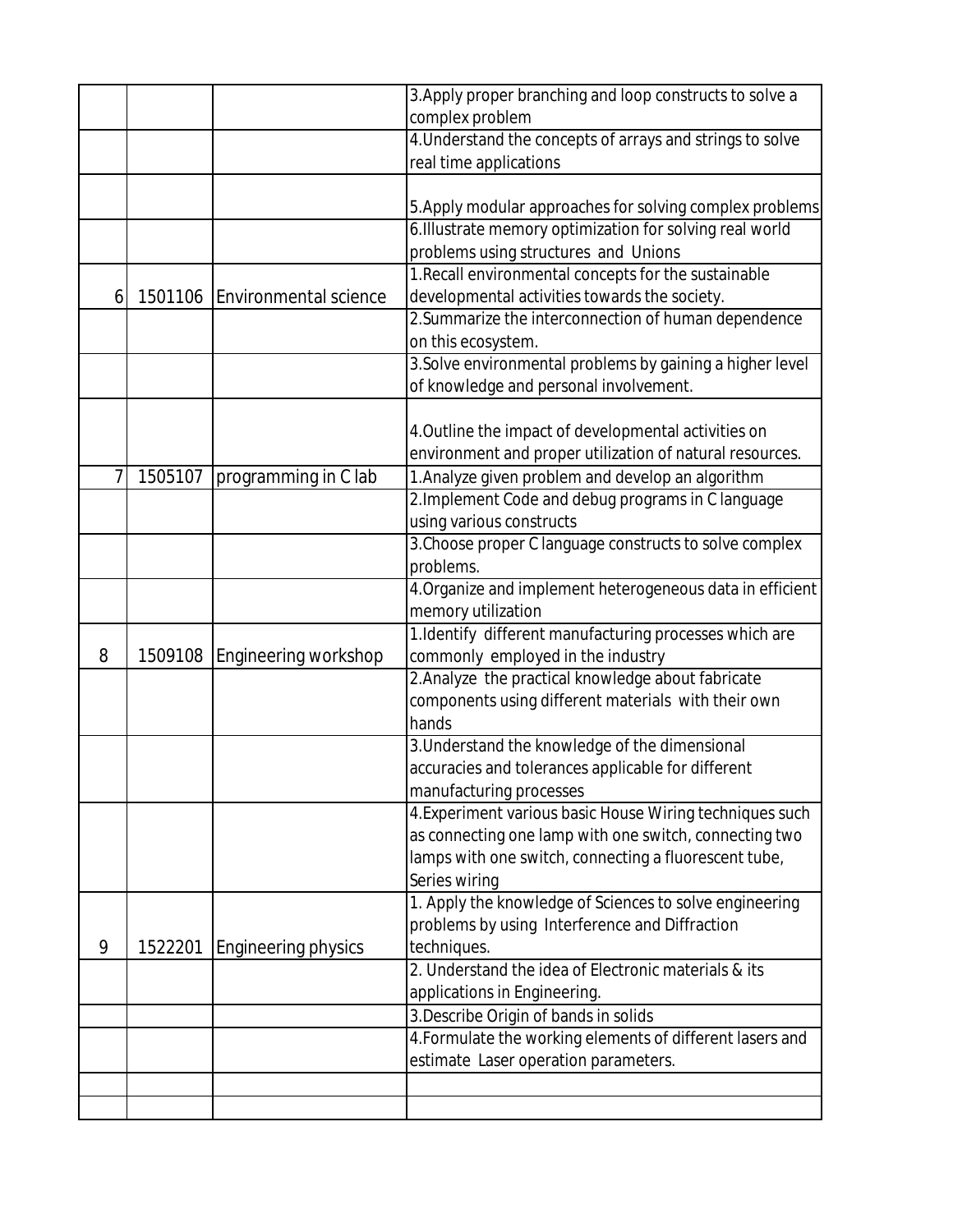|   |         |                               | 3. Apply proper branching and loop constructs to solve a  |
|---|---------|-------------------------------|-----------------------------------------------------------|
|   |         |                               | complex problem                                           |
|   |         |                               | 4. Understand the concepts of arrays and strings to solve |
|   |         |                               | real time applications                                    |
|   |         |                               |                                                           |
|   |         |                               | 5. Apply modular approaches for solving complex problems  |
|   |         |                               | 6. Illustrate memory optimization for solving real world  |
|   |         |                               | problems using structures and Unions                      |
|   |         |                               | 1. Recall environmental concepts for the sustainable      |
| 6 |         | 1501106 Environmental science | developmental activities towards the society.             |
|   |         |                               | 2. Summarize the interconnection of human dependence      |
|   |         |                               | on this ecosystem.                                        |
|   |         |                               | 3. Solve environmental problems by gaining a higher level |
|   |         |                               | of knowledge and personal involvement.                    |
|   |         |                               |                                                           |
|   |         |                               | 4. Outline the impact of developmental activities on      |
|   |         |                               | environment and proper utilization of natural resources.  |
| 7 | 1505107 | programming in C lab          | 1. Analyze given problem and develop an algorithm         |
|   |         |                               | 2. Implement Code and debug programs in C language        |
|   |         |                               | using various constructs                                  |
|   |         |                               | 3. Choose proper C language constructs to solve complex   |
|   |         |                               | problems.                                                 |
|   |         |                               | 4. Organize and implement heterogeneous data in efficient |
|   |         |                               | memory utilization                                        |
|   |         |                               | 1.Identify different manufacturing processes which are    |
| 8 |         | 1509108 Engineering workshop  | commonly employed in the industry                         |
|   |         |                               | 2. Analyze the practical knowledge about fabricate        |
|   |         |                               | components using different materials with their own       |
|   |         |                               | hands                                                     |
|   |         |                               | 3. Understand the knowledge of the dimensional            |
|   |         |                               | accuracies and tolerances applicable for different        |
|   |         |                               | manufacturing processes                                   |
|   |         |                               | 4. Experiment various basic House Wiring techniques such  |
|   |         |                               | as connecting one lamp with one switch, connecting two    |
|   |         |                               | lamps with one switch, connecting a fluorescent tube,     |
|   |         |                               | Series wiring                                             |
|   |         |                               | 1. Apply the knowledge of Sciences to solve engineering   |
|   |         |                               | problems by using Interference and Diffraction            |
| 9 | 1522201 | <b>Engineering physics</b>    | techniques.                                               |
|   |         |                               | 2. Understand the idea of Electronic materials & its      |
|   |         |                               | applications in Engineering.                              |
|   |         |                               | 3. Describe Origin of bands in solids                     |
|   |         |                               | 4. Formulate the working elements of different lasers and |
|   |         |                               | estimate Laser operation parameters.                      |
|   |         |                               |                                                           |
|   |         |                               |                                                           |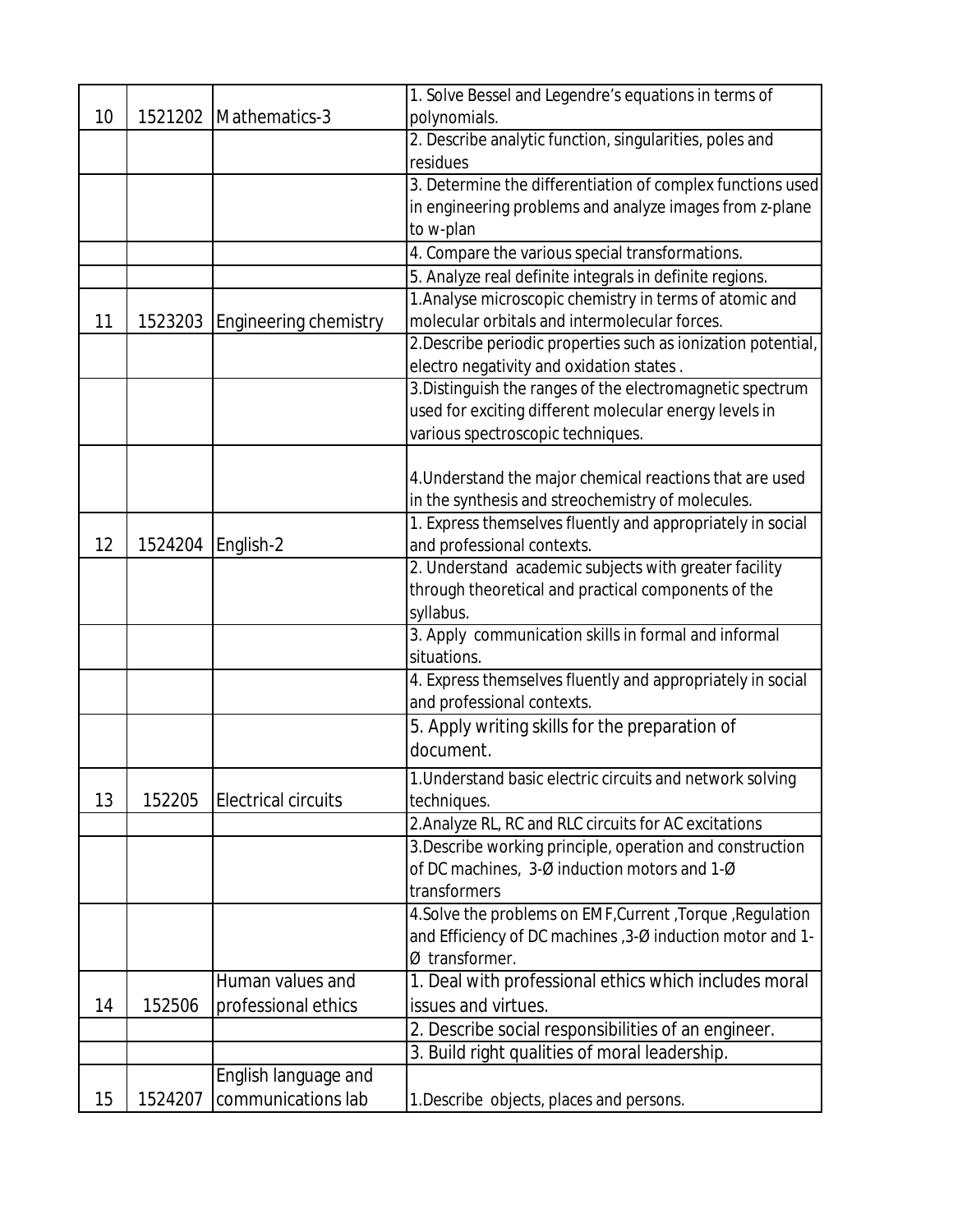|    |         |                            | 1. Solve Bessel and Legendre's equations in terms of          |
|----|---------|----------------------------|---------------------------------------------------------------|
| 10 |         | 1521202 Mathematics-3      | polynomials.                                                  |
|    |         |                            | 2. Describe analytic function, singularities, poles and       |
|    |         |                            | residues                                                      |
|    |         |                            | 3. Determine the differentiation of complex functions used    |
|    |         |                            | in engineering problems and analyze images from z-plane       |
|    |         |                            | to w-plan                                                     |
|    |         |                            | 4. Compare the various special transformations.               |
|    |         |                            | 5. Analyze real definite integrals in definite regions.       |
|    |         |                            | 1. Analyse microscopic chemistry in terms of atomic and       |
| 11 | 1523203 | Engineering chemistry      | molecular orbitals and intermolecular forces.                 |
|    |         |                            | 2. Describe periodic properties such as ionization potential, |
|    |         |                            | electro negativity and oxidation states.                      |
|    |         |                            | 3. Distinguish the ranges of the electromagnetic spectrum     |
|    |         |                            | used for exciting different molecular energy levels in        |
|    |         |                            | various spectroscopic techniques.                             |
|    |         |                            |                                                               |
|    |         |                            | 4. Understand the major chemical reactions that are used      |
|    |         |                            | in the synthesis and streochemistry of molecules.             |
|    |         |                            | 1. Express themselves fluently and appropriately in social    |
| 12 |         | 1524204 English-2          | and professional contexts.                                    |
|    |         |                            | 2. Understand academic subjects with greater facility         |
|    |         |                            | through theoretical and practical components of the           |
|    |         |                            | syllabus.                                                     |
|    |         |                            | 3. Apply communication skills in formal and informal          |
|    |         |                            | situations.                                                   |
|    |         |                            | 4. Express themselves fluently and appropriately in social    |
|    |         |                            | and professional contexts.                                    |
|    |         |                            | 5. Apply writing skills for the preparation of                |
|    |         |                            | document.                                                     |
|    |         |                            | 1. Understand basic electric circuits and network solving     |
| 13 | 152205  | <b>Electrical circuits</b> | techniques.                                                   |
|    |         |                            | 2. Analyze RL, RC and RLC circuits for AC excitations         |
|    |         |                            | 3. Describe working principle, operation and construction     |
|    |         |                            | of DC machines, 3-Ø induction motors and 1-Ø                  |
|    |         |                            | transformers                                                  |
|    |         |                            | 4. Solve the problems on EMF, Current, Torque, Regulation     |
|    |         |                            | and Efficiency of DC machines, 3-Ø induction motor and 1-     |
|    |         |                            | Ø transformer.                                                |
|    |         | Human values and           | 1. Deal with professional ethics which includes moral         |
| 14 | 152506  | professional ethics        | issues and virtues.                                           |
|    |         |                            | 2. Describe social responsibilities of an engineer.           |
|    |         |                            | 3. Build right qualities of moral leadership.                 |
|    |         | English language and       |                                                               |
| 15 | 1524207 | communications lab         | 1. Describe objects, places and persons.                      |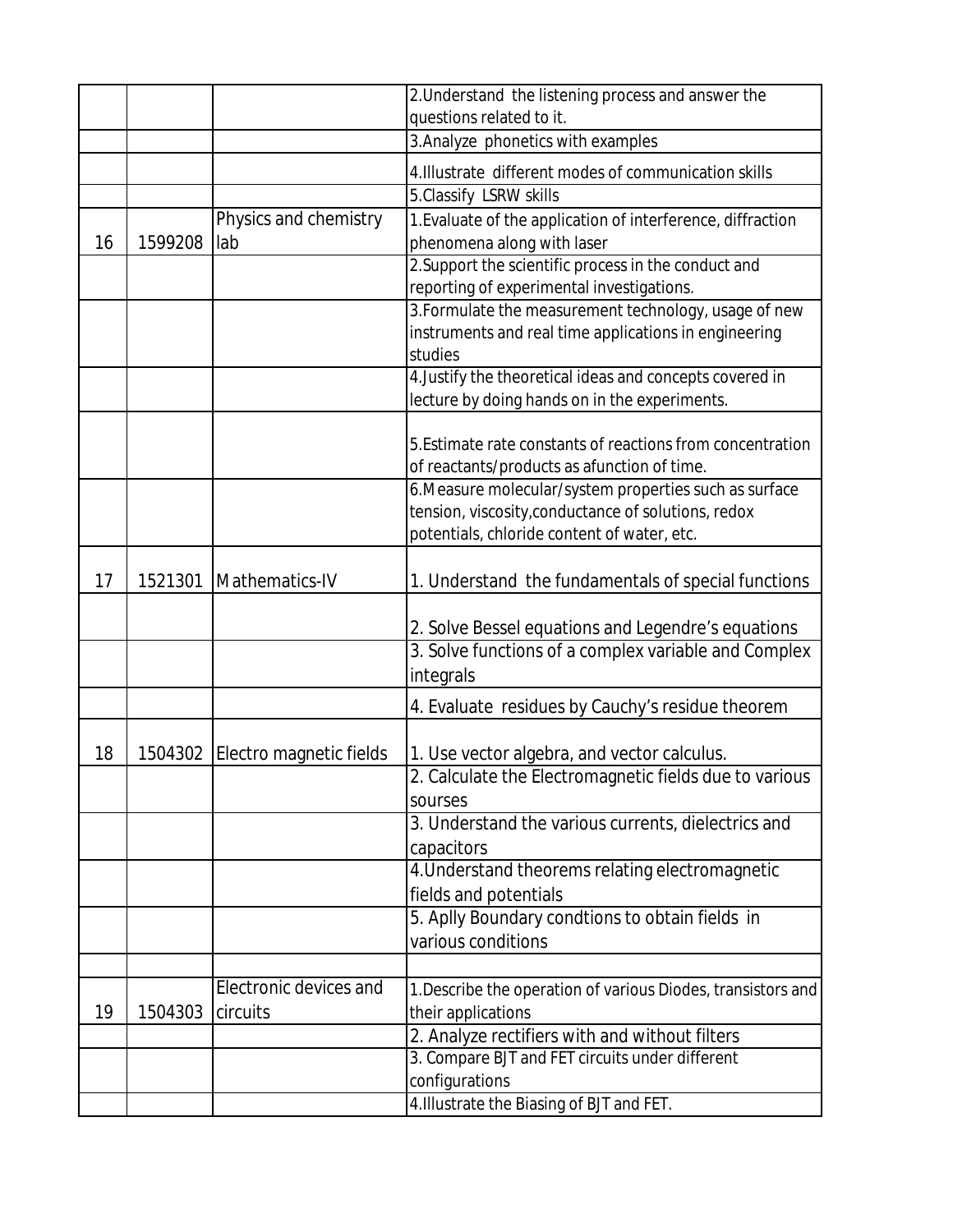|    |         |                         | 2. Understand the listening process and answer the                                                            |
|----|---------|-------------------------|---------------------------------------------------------------------------------------------------------------|
|    |         |                         | questions related to it.                                                                                      |
|    |         |                         | 3. Analyze phonetics with examples                                                                            |
|    |         |                         | 4. Illustrate different modes of communication skills                                                         |
|    |         |                         | 5.Classify LSRW skills                                                                                        |
|    |         | Physics and chemistry   | 1. Evaluate of the application of interference, diffraction                                                   |
| 16 | 1599208 | lab                     | phenomena along with laser                                                                                    |
|    |         |                         | 2. Support the scientific process in the conduct and                                                          |
|    |         |                         | reporting of experimental investigations.                                                                     |
|    |         |                         | 3. Formulate the measurement technology, usage of new                                                         |
|    |         |                         | instruments and real time applications in engineering                                                         |
|    |         |                         | studies                                                                                                       |
|    |         |                         | 4. Justify the theoretical ideas and concepts covered in                                                      |
|    |         |                         | lecture by doing hands on in the experiments.                                                                 |
|    |         |                         |                                                                                                               |
|    |         |                         | 5. Estimate rate constants of reactions from concentration                                                    |
|    |         |                         | of reactants/products as afunction of time.                                                                   |
|    |         |                         | 6. Measure molecular/system properties such as surface<br>tension, viscosity, conductance of solutions, redox |
|    |         |                         | potentials, chloride content of water, etc.                                                                   |
|    |         |                         |                                                                                                               |
| 17 | 1521301 | Mathematics-IV          | 1. Understand the fundamentals of special functions                                                           |
|    |         |                         | 2. Solve Bessel equations and Legendre's equations                                                            |
|    |         |                         | 3. Solve functions of a complex variable and Complex                                                          |
|    |         |                         | integrals                                                                                                     |
|    |         |                         | 4. Evaluate residues by Cauchy's residue theorem                                                              |
| 18 | 1504302 | Electro magnetic fields | 1. Use vector algebra, and vector calculus.                                                                   |
|    |         |                         | 2. Calculate the Electromagnetic fields due to various                                                        |
|    |         |                         | sourses                                                                                                       |
|    |         |                         | 3. Understand the various currents, dielectrics and                                                           |
|    |         |                         | capacitors                                                                                                    |
|    |         |                         | 4. Understand theorems relating electromagnetic                                                               |
|    |         |                         | fields and potentials                                                                                         |
|    |         |                         | 5. Aplly Boundary condtions to obtain fields in                                                               |
|    |         |                         | various conditions                                                                                            |
|    |         |                         |                                                                                                               |
|    |         | Electronic devices and  | 1. Describe the operation of various Diodes, transistors and                                                  |
| 19 | 1504303 | circuits                | their applications                                                                                            |
|    |         |                         | 2. Analyze rectifiers with and without filters                                                                |
|    |         |                         | 3. Compare BJT and FET circuits under different                                                               |
|    |         |                         | configurations                                                                                                |
|    |         |                         | 4. Illustrate the Biasing of BJT and FET.                                                                     |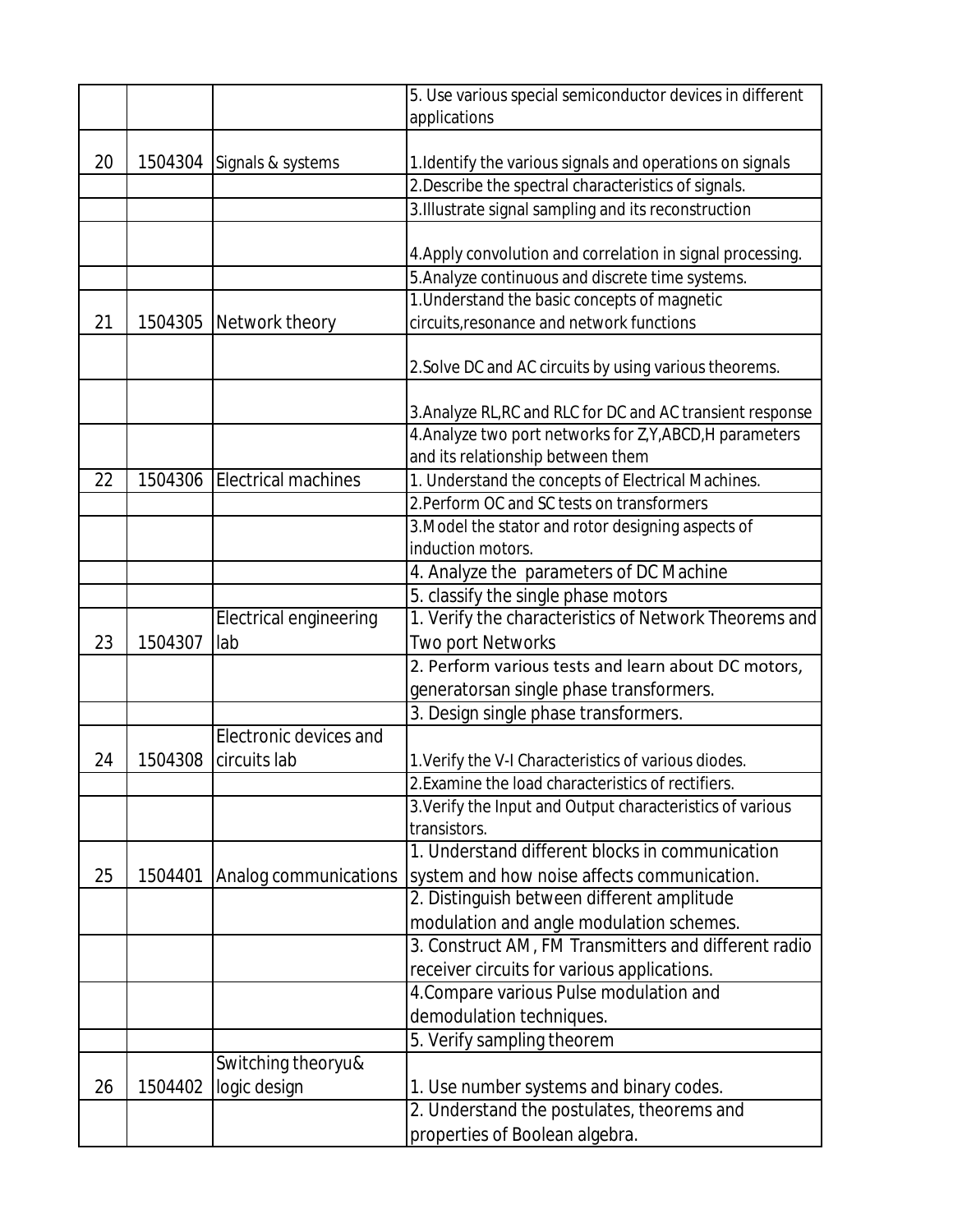|    |         |                               | 5. Use various special semiconductor devices in different  |
|----|---------|-------------------------------|------------------------------------------------------------|
|    |         |                               | applications                                               |
|    |         |                               |                                                            |
| 20 | 1504304 | Signals & systems             | 1. Identify the various signals and operations on signals  |
|    |         |                               | 2. Describe the spectral characteristics of signals.       |
|    |         |                               | 3. Illustrate signal sampling and its reconstruction       |
|    |         |                               |                                                            |
|    |         |                               | 4. Apply convolution and correlation in signal processing. |
|    |         |                               | 5. Analyze continuous and discrete time systems.           |
|    |         |                               | 1. Understand the basic concepts of magnetic               |
| 21 | 1504305 | Network theory                | circuits, resonance and network functions                  |
|    |         |                               | 2. Solve DC and AC circuits by using various theorems.     |
|    |         |                               | 3. Analyze RL, RC and RLC for DC and AC transient response |
|    |         |                               | 4. Analyze two port networks for Z, Y, ABCD, H parameters  |
|    |         |                               | and its relationship between them                          |
| 22 | 1504306 | <b>Electrical machines</b>    | 1. Understand the concepts of Electrical Machines.         |
|    |         |                               | 2. Perform OC and SC tests on transformers                 |
|    |         |                               | 3. Model the stator and rotor designing aspects of         |
|    |         |                               | induction motors.                                          |
|    |         |                               | 4. Analyze the parameters of DC Machine                    |
|    |         |                               | 5. classify the single phase motors                        |
|    |         | <b>Electrical engineering</b> | 1. Verify the characteristics of Network Theorems and      |
| 23 | 1504307 | lab                           | <b>Two port Networks</b>                                   |
|    |         |                               | 2. Perform various tests and learn about DC motors,        |
|    |         |                               | generatorsan single phase transformers.                    |
|    |         |                               | 3. Design single phase transformers.                       |
|    |         | Electronic devices and        |                                                            |
| 24 | 1504308 | circuits lab                  | 1. Verify the V-I Characteristics of various diodes.       |
|    |         |                               | 2. Examine the load characteristics of rectifiers.         |
|    |         |                               | 3. Verify the Input and Output characteristics of various  |
|    |         |                               | transistors.                                               |
|    |         |                               | 1. Understand different blocks in communication            |
| 25 | 1504401 | Analog communications         | system and how noise affects communication.                |
|    |         |                               | 2. Distinguish between different amplitude                 |
|    |         |                               | modulation and angle modulation schemes.                   |
|    |         |                               | 3. Construct AM, FM Transmitters and different radio       |
|    |         |                               | receiver circuits for various applications.                |
|    |         |                               | 4. Compare various Pulse modulation and                    |
|    |         |                               | demodulation techniques.                                   |
|    |         |                               | 5. Verify sampling theorem                                 |
|    |         | Switching theoryu&            |                                                            |
| 26 | 1504402 | logic design                  | 1. Use number systems and binary codes.                    |
|    |         |                               | 2. Understand the postulates, theorems and                 |
|    |         |                               | properties of Boolean algebra.                             |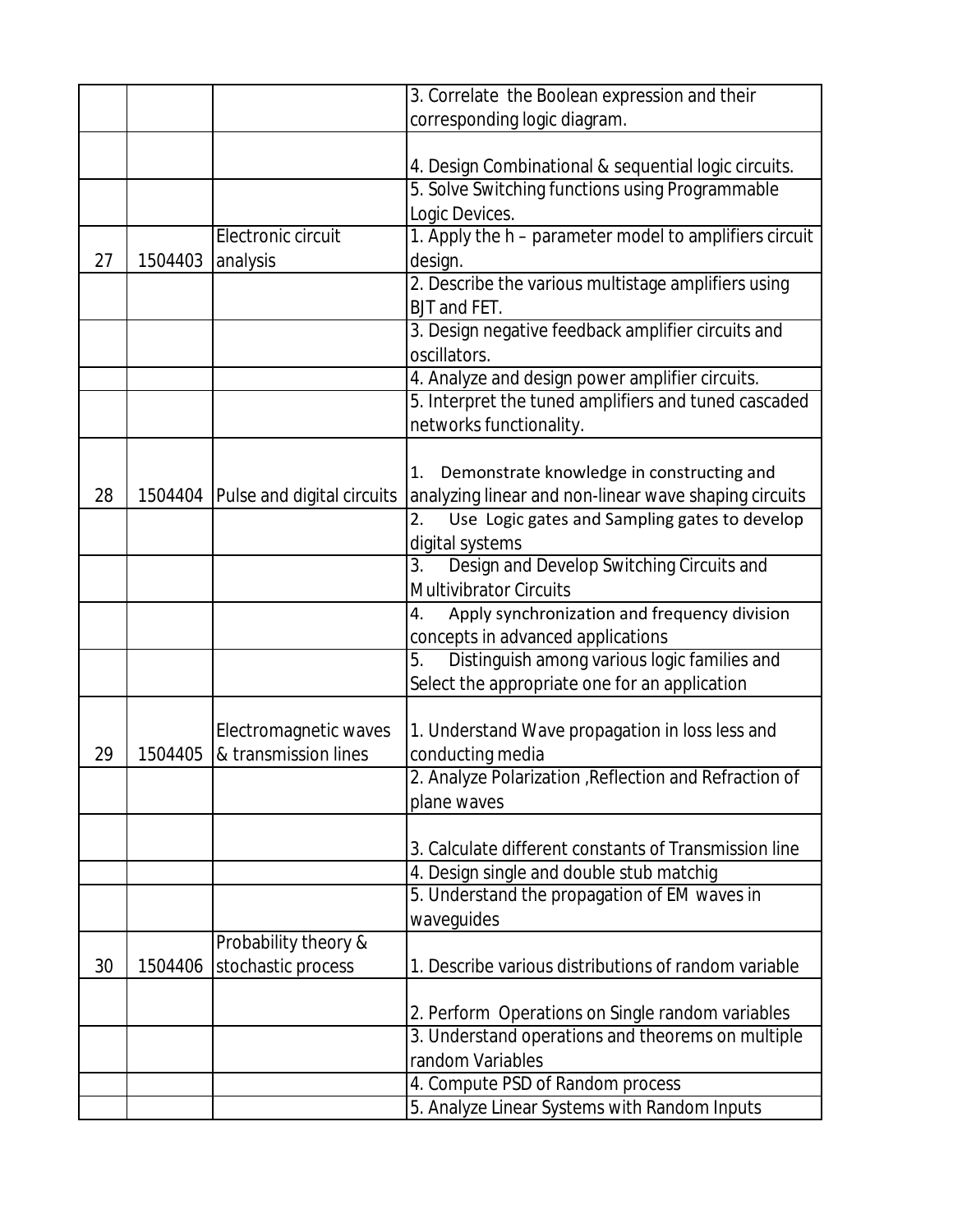|    |         |                                    | 3. Correlate the Boolean expression and their                    |
|----|---------|------------------------------------|------------------------------------------------------------------|
|    |         |                                    | corresponding logic diagram.                                     |
|    |         |                                    |                                                                  |
|    |         |                                    | 4. Design Combinational & sequential logic circuits.             |
|    |         |                                    | 5. Solve Switching functions using Programmable                  |
|    |         |                                    | Logic Devices.                                                   |
|    |         | Electronic circuit                 | 1. Apply the h - parameter model to amplifiers circuit           |
| 27 | 1504403 | analysis                           | design.                                                          |
|    |         |                                    | 2. Describe the various multistage amplifiers using              |
|    |         |                                    | BJT and FET.                                                     |
|    |         |                                    | 3. Design negative feedback amplifier circuits and               |
|    |         |                                    | oscillators.                                                     |
|    |         |                                    | 4. Analyze and design power amplifier circuits.                  |
|    |         |                                    | 5. Interpret the tuned amplifiers and tuned cascaded             |
|    |         |                                    | networks functionality.                                          |
|    |         |                                    |                                                                  |
|    |         |                                    | Demonstrate knowledge in constructing and<br>1.                  |
| 28 |         | 1504404 Pulse and digital circuits | analyzing linear and non-linear wave shaping circuits            |
|    |         |                                    | Use Logic gates and Sampling gates to develop<br>2.              |
|    |         |                                    | digital systems                                                  |
|    |         |                                    | 3.<br>Design and Develop Switching Circuits and                  |
|    |         |                                    | <b>Multivibrator Circuits</b>                                    |
|    |         |                                    | Apply synchronization and frequency division<br>4.               |
|    |         |                                    | concepts in advanced applications                                |
|    |         |                                    | $\overline{5}$ .<br>Distinguish among various logic families and |
|    |         |                                    | Select the appropriate one for an application                    |
|    |         |                                    |                                                                  |
|    |         | Electromagnetic waves              | 1. Understand Wave propagation in loss less and                  |
| 29 | 1504405 | & transmission lines               | conducting media                                                 |
|    |         |                                    | 2. Analyze Polarization, Reflection and Refraction of            |
|    |         |                                    | plane waves                                                      |
|    |         |                                    |                                                                  |
|    |         |                                    | 3. Calculate different constants of Transmission line            |
|    |         |                                    | 4. Design single and double stub matchig                         |
|    |         |                                    | 5. Understand the propagation of EM waves in                     |
|    |         |                                    | waveguides                                                       |
|    |         | Probability theory &               |                                                                  |
| 30 | 1504406 | stochastic process                 | 1. Describe various distributions of random variable             |
|    |         |                                    |                                                                  |
|    |         |                                    | 2. Perform Operations on Single random variables                 |
|    |         |                                    | 3. Understand operations and theorems on multiple                |
|    |         |                                    | random Variables                                                 |
|    |         |                                    | 4. Compute PSD of Random process                                 |
|    |         |                                    | 5. Analyze Linear Systems with Random Inputs                     |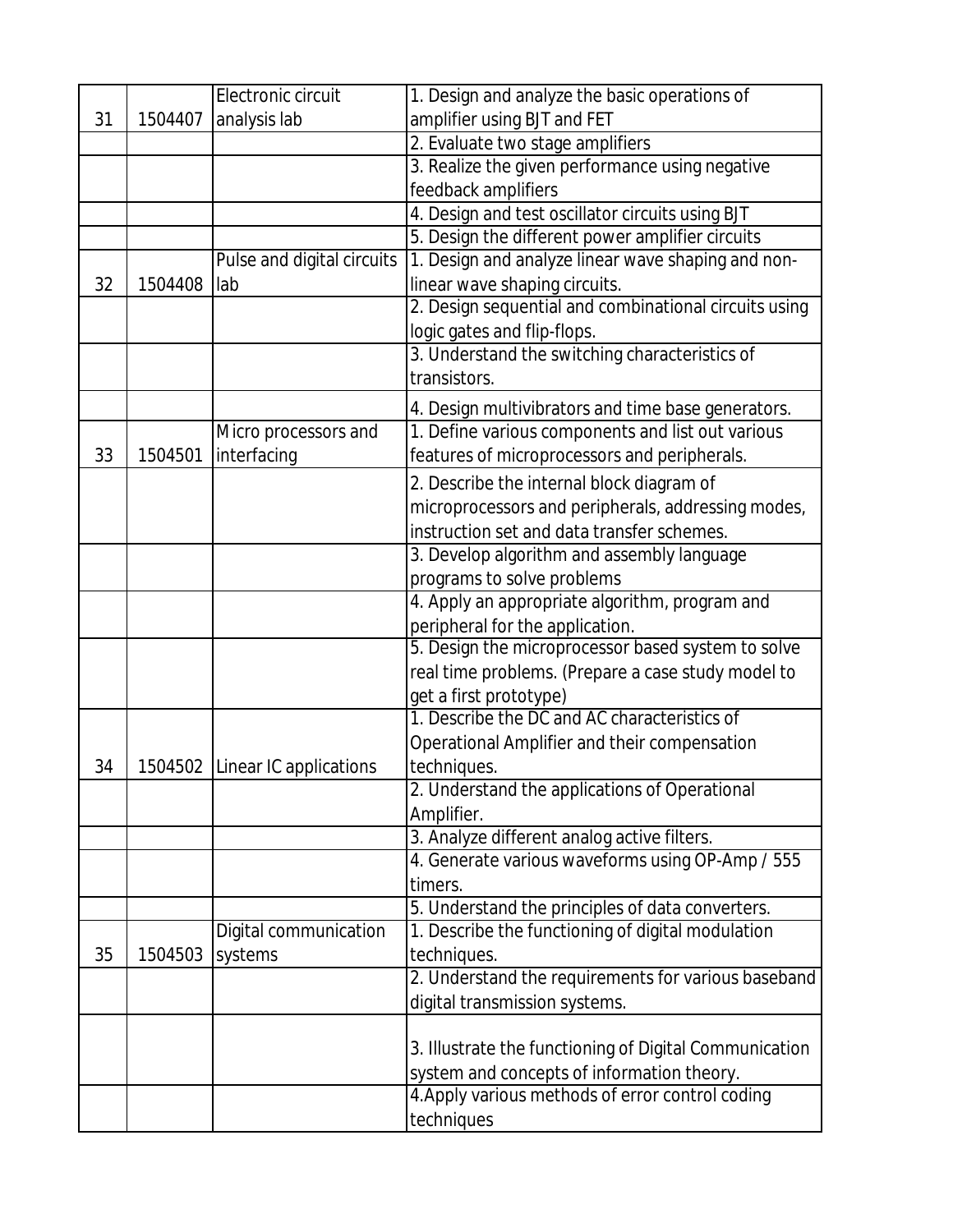|    |         | Electronic circuit             | 1. Design and analyze the basic operations of          |
|----|---------|--------------------------------|--------------------------------------------------------|
| 31 | 1504407 | analysis lab                   | amplifier using BJT and FET                            |
|    |         |                                | 2. Evaluate two stage amplifiers                       |
|    |         |                                | 3. Realize the given performance using negative        |
|    |         |                                | feedback amplifiers                                    |
|    |         |                                | 4. Design and test oscillator circuits using BJT       |
|    |         |                                | 5. Design the different power amplifier circuits       |
|    |         | Pulse and digital circuits     | 1. Design and analyze linear wave shaping and non-     |
| 32 | 1504408 | lab                            | linear wave shaping circuits.                          |
|    |         |                                | 2. Design sequential and combinational circuits using  |
|    |         |                                | logic gates and flip-flops.                            |
|    |         |                                | 3. Understand the switching characteristics of         |
|    |         |                                | transistors.                                           |
|    |         |                                | 4. Design multivibrators and time base generators.     |
|    |         | Micro processors and           | 1. Define various components and list out various      |
| 33 | 1504501 | interfacing                    | features of microprocessors and peripherals.           |
|    |         |                                | 2. Describe the internal block diagram of              |
|    |         |                                | microprocessors and peripherals, addressing modes,     |
|    |         |                                | instruction set and data transfer schemes.             |
|    |         |                                | 3. Develop algorithm and assembly language             |
|    |         |                                | programs to solve problems                             |
|    |         |                                | 4. Apply an appropriate algorithm, program and         |
|    |         |                                | peripheral for the application.                        |
|    |         |                                | 5. Design the microprocessor based system to solve     |
|    |         |                                | real time problems. (Prepare a case study model to     |
|    |         |                                | get a first prototype)                                 |
|    |         |                                | 1. Describe the DC and AC characteristics of           |
|    |         |                                | Operational Amplifier and their compensation           |
| 34 |         | 1504502 Linear IC applications | techniques.                                            |
|    |         |                                | 2. Understand the applications of Operational          |
|    |         |                                | Amplifier.                                             |
|    |         |                                | 3. Analyze different analog active filters.            |
|    |         |                                | 4. Generate various waveforms using OP-Amp / 555       |
|    |         |                                | timers.                                                |
|    |         |                                | 5. Understand the principles of data converters.       |
|    |         | Digital communication          | 1. Describe the functioning of digital modulation      |
| 35 | 1504503 | systems                        | techniques.                                            |
|    |         |                                | 2. Understand the requirements for various baseband    |
|    |         |                                | digital transmission systems.                          |
|    |         |                                |                                                        |
|    |         |                                | 3. Illustrate the functioning of Digital Communication |
|    |         |                                | system and concepts of information theory.             |
|    |         |                                | 4. Apply various methods of error control coding       |
|    |         |                                | techniques                                             |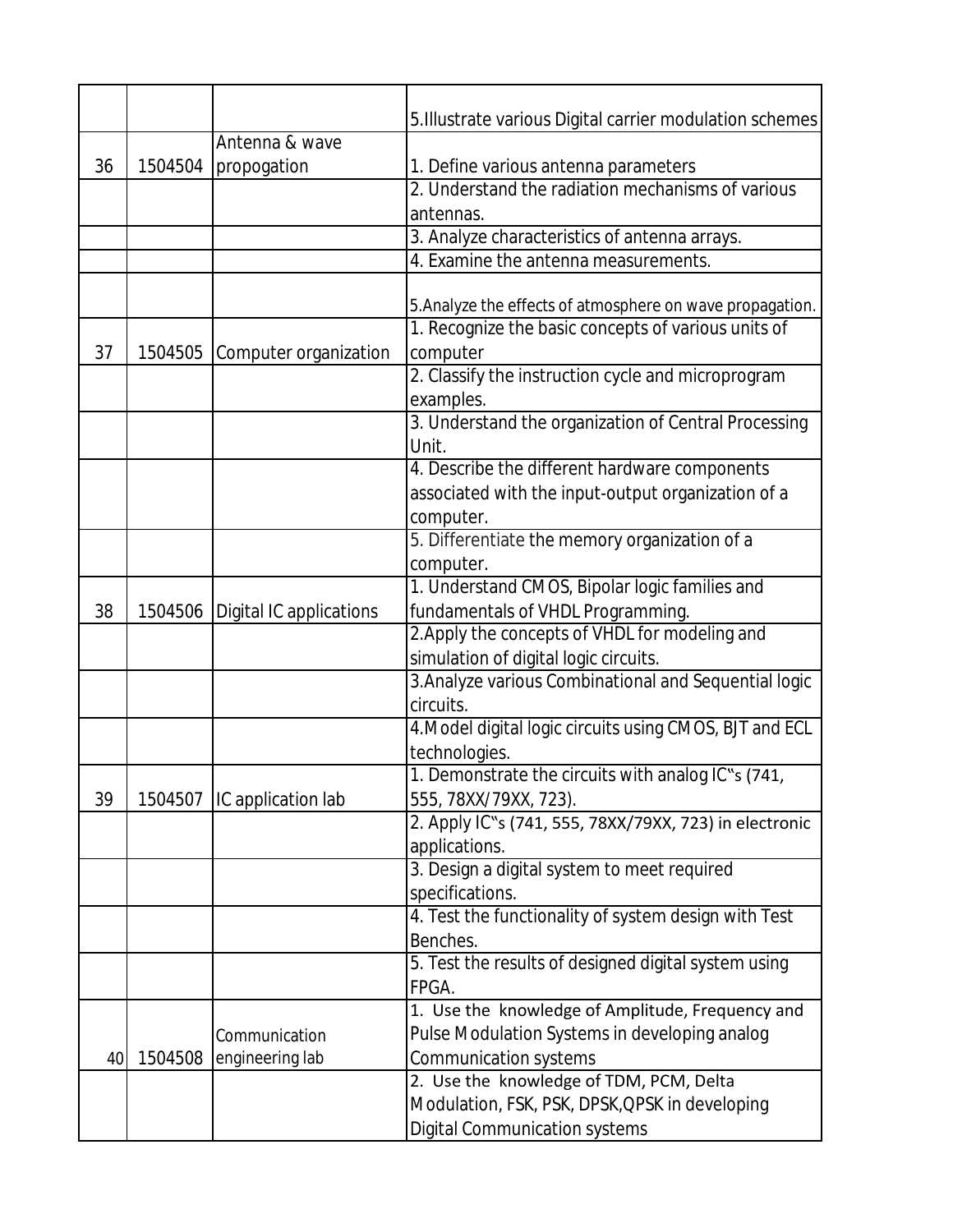|    |         |                                   | 5. Illustrate various Digital carrier modulation schemes  |
|----|---------|-----------------------------------|-----------------------------------------------------------|
|    |         | Antenna & wave                    |                                                           |
| 36 | 1504504 | propogation                       | 1. Define various antenna parameters                      |
|    |         |                                   | 2. Understand the radiation mechanisms of various         |
|    |         |                                   | antennas.                                                 |
|    |         |                                   | 3. Analyze characteristics of antenna arrays.             |
|    |         |                                   | 4. Examine the antenna measurements.                      |
|    |         |                                   |                                                           |
|    |         |                                   | 5. Analyze the effects of atmosphere on wave propagation. |
|    |         |                                   | 1. Recognize the basic concepts of various units of       |
| 37 | 1504505 | Computer organization             | computer                                                  |
|    |         |                                   | 2. Classify the instruction cycle and microprogram        |
|    |         |                                   | examples.                                                 |
|    |         |                                   | 3. Understand the organization of Central Processing      |
|    |         |                                   | Unit.                                                     |
|    |         |                                   | 4. Describe the different hardware components             |
|    |         |                                   | associated with the input-output organization of a        |
|    |         |                                   | computer.                                                 |
|    |         |                                   | 5. Differentiate the memory organization of a             |
|    |         |                                   | computer.                                                 |
|    |         |                                   | 1. Understand CMOS, Bipolar logic families and            |
| 38 |         | 1504506   Digital IC applications | fundamentals of VHDL Programming.                         |
|    |         |                                   | 2. Apply the concepts of VHDL for modeling and            |
|    |         |                                   | simulation of digital logic circuits.                     |
|    |         |                                   | 3. Analyze various Combinational and Sequential logic     |
|    |         |                                   | circuits.                                                 |
|    |         |                                   | 4. Model digital logic circuits using CMOS, BJT and ECL   |
|    |         |                                   | technologies.                                             |
|    |         |                                   | 1. Demonstrate the circuits with analog IC"s (741,        |
| 39 | 1504507 | IC application lab                | 555, 78XX/79XX, 723).                                     |
|    |         |                                   | 2. Apply IC"s (741, 555, 78XX/79XX, 723) in electronic    |
|    |         |                                   | applications.                                             |
|    |         |                                   | 3. Design a digital system to meet required               |
|    |         |                                   | specifications.                                           |
|    |         |                                   | 4. Test the functionality of system design with Test      |
|    |         |                                   | Benches.                                                  |
|    |         |                                   | 5. Test the results of designed digital system using      |
|    |         |                                   | FPGA.                                                     |
|    |         |                                   | 1. Use the knowledge of Amplitude, Frequency and          |
|    |         | Communication                     | Pulse Modulation Systems in developing analog             |
| 40 | 1504508 | engineering lab                   | <b>Communication systems</b>                              |
|    |         |                                   | 2. Use the knowledge of TDM, PCM, Delta                   |
|    |         |                                   | Modulation, FSK, PSK, DPSK, QPSK in developing            |
|    |         |                                   | <b>Digital Communication systems</b>                      |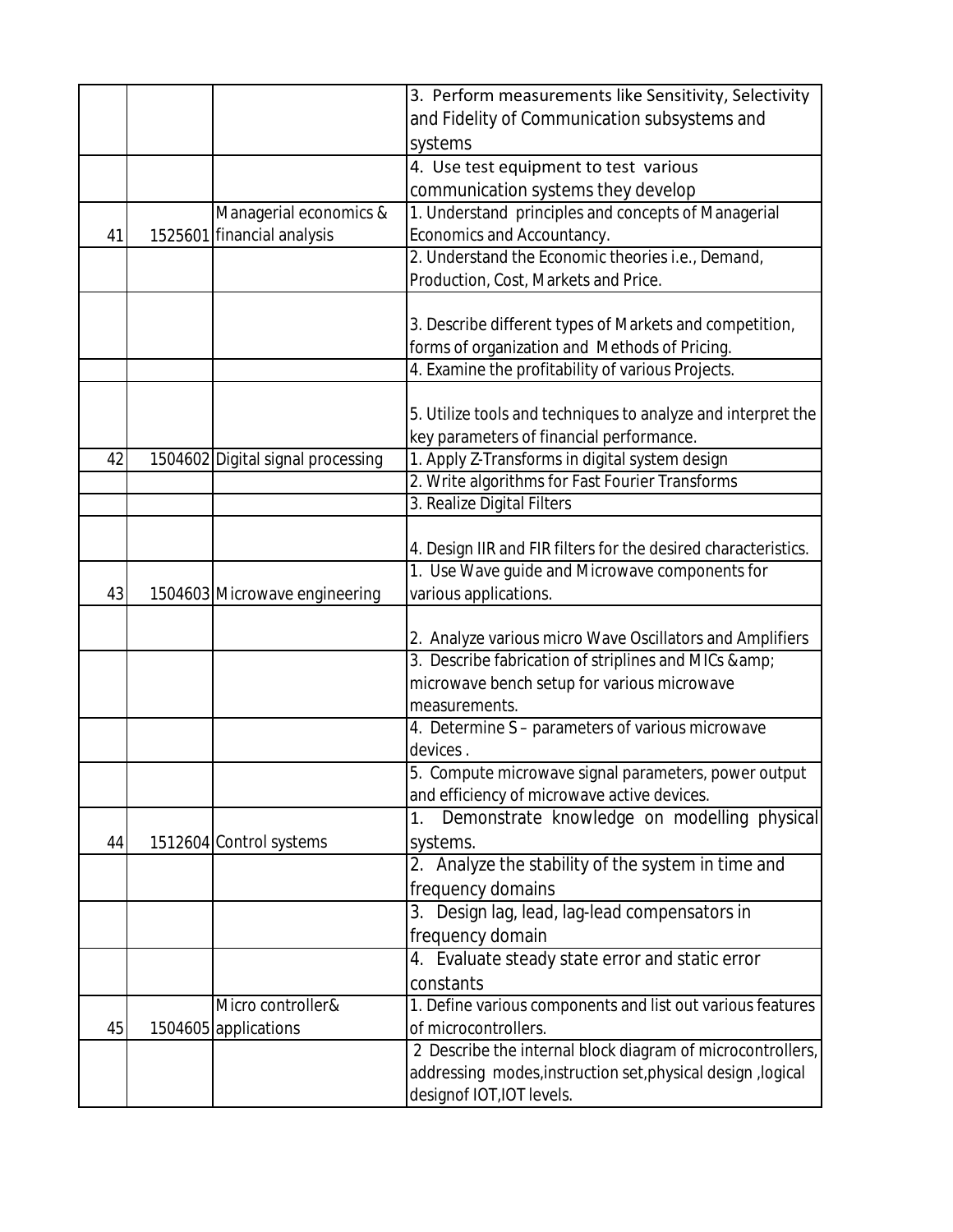|    |                                   | 3. Perform measurements like Sensitivity, Selectivity                                                    |
|----|-----------------------------------|----------------------------------------------------------------------------------------------------------|
|    |                                   | and Fidelity of Communication subsystems and                                                             |
|    |                                   | systems                                                                                                  |
|    |                                   | 4. Use test equipment to test various                                                                    |
|    |                                   | communication systems they develop                                                                       |
|    | Managerial economics &            | 1. Understand principles and concepts of Managerial                                                      |
| 41 | 1525601 financial analysis        | Economics and Accountancy.                                                                               |
|    |                                   | 2. Understand the Economic theories i.e., Demand,                                                        |
|    |                                   | Production, Cost, Markets and Price.                                                                     |
|    |                                   |                                                                                                          |
|    |                                   | 3. Describe different types of Markets and competition,                                                  |
|    |                                   | forms of organization and Methods of Pricing.                                                            |
|    |                                   | 4. Examine the profitability of various Projects.                                                        |
|    |                                   |                                                                                                          |
|    |                                   | 5. Utilize tools and techniques to analyze and interpret the<br>key parameters of financial performance. |
| 42 | 1504602 Digital signal processing | 1. Apply Z-Transforms in digital system design                                                           |
|    |                                   | 2. Write algorithms for Fast Fourier Transforms                                                          |
|    |                                   | 3. Realize Digital Filters                                                                               |
|    |                                   |                                                                                                          |
|    |                                   | 4. Design IIR and FIR filters for the desired characteristics.                                           |
|    |                                   | 1. Use Wave guide and Microwave components for                                                           |
| 43 | 1504603 Microwave engineering     | various applications.                                                                                    |
|    |                                   | 2. Analyze various micro Wave Oscillators and Amplifiers                                                 |
|    |                                   | 3. Describe fabrication of striplines and MICs &                                                         |
|    |                                   | microwave bench setup for various microwave                                                              |
|    |                                   | measurements.                                                                                            |
|    |                                   | 4. Determine S - parameters of various microwave                                                         |
|    |                                   | devices.                                                                                                 |
|    |                                   | 5. Compute microwave signal parameters, power output                                                     |
|    |                                   | and efficiency of microwave active devices.                                                              |
|    |                                   | Demonstrate knowledge on modelling physical<br>1.                                                        |
| 44 | 1512604 Control systems           | systems.                                                                                                 |
|    |                                   | 2. Analyze the stability of the system in time and                                                       |
|    |                                   | frequency domains                                                                                        |
|    |                                   | 3. Design lag, lead, lag-lead compensators in                                                            |
|    |                                   | frequency domain                                                                                         |
|    |                                   | 4. Evaluate steady state error and static error                                                          |
|    |                                   | constants                                                                                                |
|    | Micro controller&                 | 1. Define various components and list out various features                                               |
| 45 | 1504605 applications              | of microcontrollers.                                                                                     |
|    |                                   | 2 Describe the internal block diagram of microcontrollers,                                               |
|    |                                   | addressing modes, instruction set, physical design, logical                                              |
|    |                                   | designof IOT, IOT levels.                                                                                |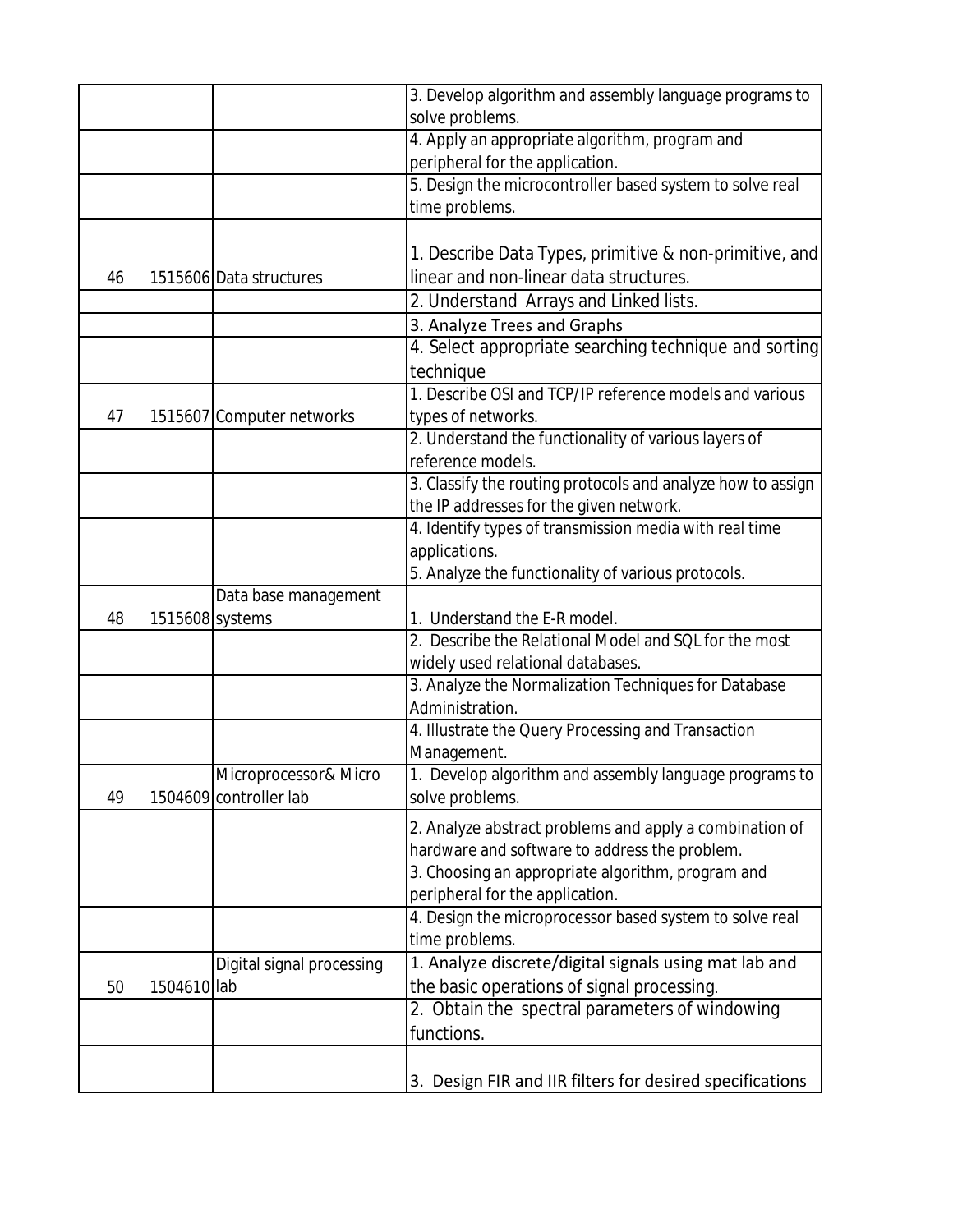|    |             |                           | 3. Develop algorithm and assembly language programs to      |
|----|-------------|---------------------------|-------------------------------------------------------------|
|    |             |                           | solve problems.                                             |
|    |             |                           | 4. Apply an appropriate algorithm, program and              |
|    |             |                           | peripheral for the application.                             |
|    |             |                           | 5. Design the microcontroller based system to solve real    |
|    |             |                           | time problems.                                              |
|    |             |                           |                                                             |
|    |             |                           | 1. Describe Data Types, primitive & non-primitive, and      |
| 46 |             | 1515606 Data structures   | linear and non-linear data structures.                      |
|    |             |                           | 2. Understand Arrays and Linked lists.                      |
|    |             |                           | 3. Analyze Trees and Graphs                                 |
|    |             |                           | 4. Select appropriate searching technique and sorting       |
|    |             |                           | technique                                                   |
|    |             |                           | 1. Describe OSI and TCP/IP reference models and various     |
| 47 |             | 1515607 Computer networks | types of networks.                                          |
|    |             |                           | 2. Understand the functionality of various layers of        |
|    |             |                           | reference models.                                           |
|    |             |                           | 3. Classify the routing protocols and analyze how to assign |
|    |             |                           | the IP addresses for the given network.                     |
|    |             |                           | 4. Identify types of transmission media with real time      |
|    |             |                           | applications.                                               |
|    |             |                           | 5. Analyze the functionality of various protocols.          |
|    |             | Data base management      |                                                             |
| 48 |             | 1515608 systems           | 1. Understand the E-R model.                                |
|    |             |                           | 2. Describe the Relational Model and SQL for the most       |
|    |             |                           | widely used relational databases.                           |
|    |             |                           | 3. Analyze the Normalization Techniques for Database        |
|    |             |                           | Administration.                                             |
|    |             |                           | 4. Illustrate the Query Processing and Transaction          |
|    |             |                           | Management.                                                 |
|    |             | Microprocessor& Micro     | Develop algorithm and assembly language programs to         |
| 49 |             | 1504609 controller lab    | solve problems.                                             |
|    |             |                           | 2. Analyze abstract problems and apply a combination of     |
|    |             |                           | hardware and software to address the problem.               |
|    |             |                           | 3. Choosing an appropriate algorithm, program and           |
|    |             |                           | peripheral for the application.                             |
|    |             |                           | 4. Design the microprocessor based system to solve real     |
|    |             |                           | time problems.                                              |
|    |             | Digital signal processing | 1. Analyze discrete/digital signals using mat lab and       |
| 50 | 1504610 lab |                           | the basic operations of signal processing.                  |
|    |             |                           | 2. Obtain the spectral parameters of windowing              |
|    |             |                           | functions.                                                  |
|    |             |                           |                                                             |
|    |             |                           |                                                             |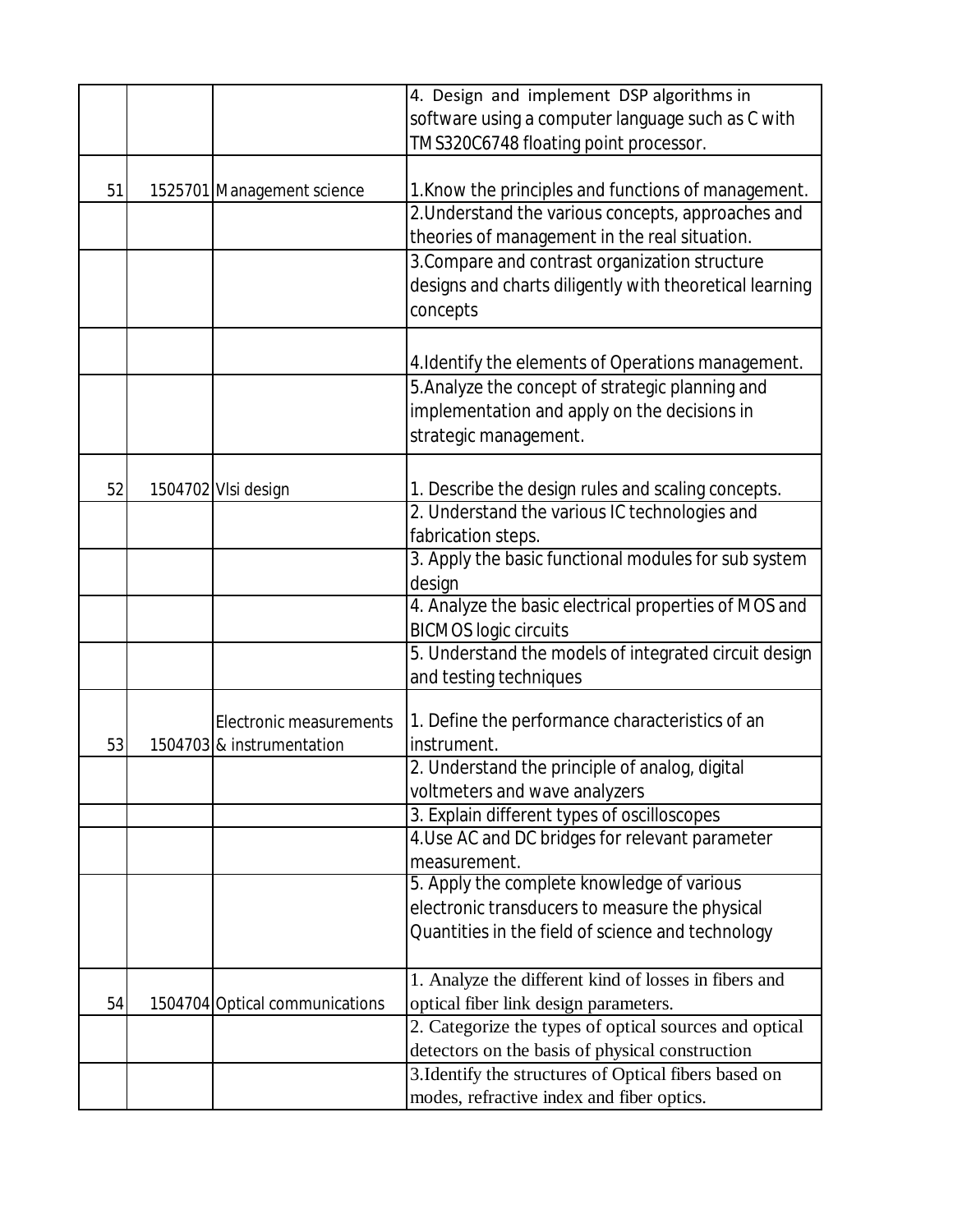|    |                                | 4. Design and implement DSP algorithms in               |
|----|--------------------------------|---------------------------------------------------------|
|    |                                | software using a computer language such as C with       |
|    |                                | TMS320C6748 floating point processor.                   |
|    |                                |                                                         |
| 51 | 1525701 Management science     | 1. Know the principles and functions of management.     |
|    |                                | 2. Understand the various concepts, approaches and      |
|    |                                | theories of management in the real situation.           |
|    |                                | 3. Compare and contrast organization structure          |
|    |                                | designs and charts diligently with theoretical learning |
|    |                                | concepts                                                |
|    |                                |                                                         |
|    |                                | 4. Identify the elements of Operations management.      |
|    |                                | 5. Analyze the concept of strategic planning and        |
|    |                                | implementation and apply on the decisions in            |
|    |                                | strategic management.                                   |
|    |                                |                                                         |
| 52 | 1504702 VIsi design            | 1. Describe the design rules and scaling concepts.      |
|    |                                | 2. Understand the various IC technologies and           |
|    |                                | fabrication steps.                                      |
|    |                                | 3. Apply the basic functional modules for sub system    |
|    |                                | design                                                  |
|    |                                | 4. Analyze the basic electrical properties of MOS and   |
|    |                                | <b>BICMOS logic circuits</b>                            |
|    |                                | 5. Understand the models of integrated circuit design   |
|    |                                | and testing techniques                                  |
|    |                                |                                                         |
|    | Electronic measurements        | 1. Define the performance characteristics of an         |
| 53 | 1504703 & instrumentation      | instrument.                                             |
|    |                                | 2. Understand the principle of analog, digital          |
|    |                                | voltmeters and wave analyzers                           |
|    |                                | 3. Explain different types of oscilloscopes             |
|    |                                | 4. Use AC and DC bridges for relevant parameter         |
|    |                                | measurement.                                            |
|    |                                | 5. Apply the complete knowledge of various              |
|    |                                | electronic transducers to measure the physical          |
|    |                                | Quantities in the field of science and technology       |
|    |                                |                                                         |
|    |                                | 1. Analyze the different kind of losses in fibers and   |
| 54 | 1504704 Optical communications | optical fiber link design parameters.                   |
|    |                                | 2. Categorize the types of optical sources and optical  |
|    |                                | detectors on the basis of physical construction         |
|    |                                | 3. Identify the structures of Optical fibers based on   |
|    |                                | modes, refractive index and fiber optics.               |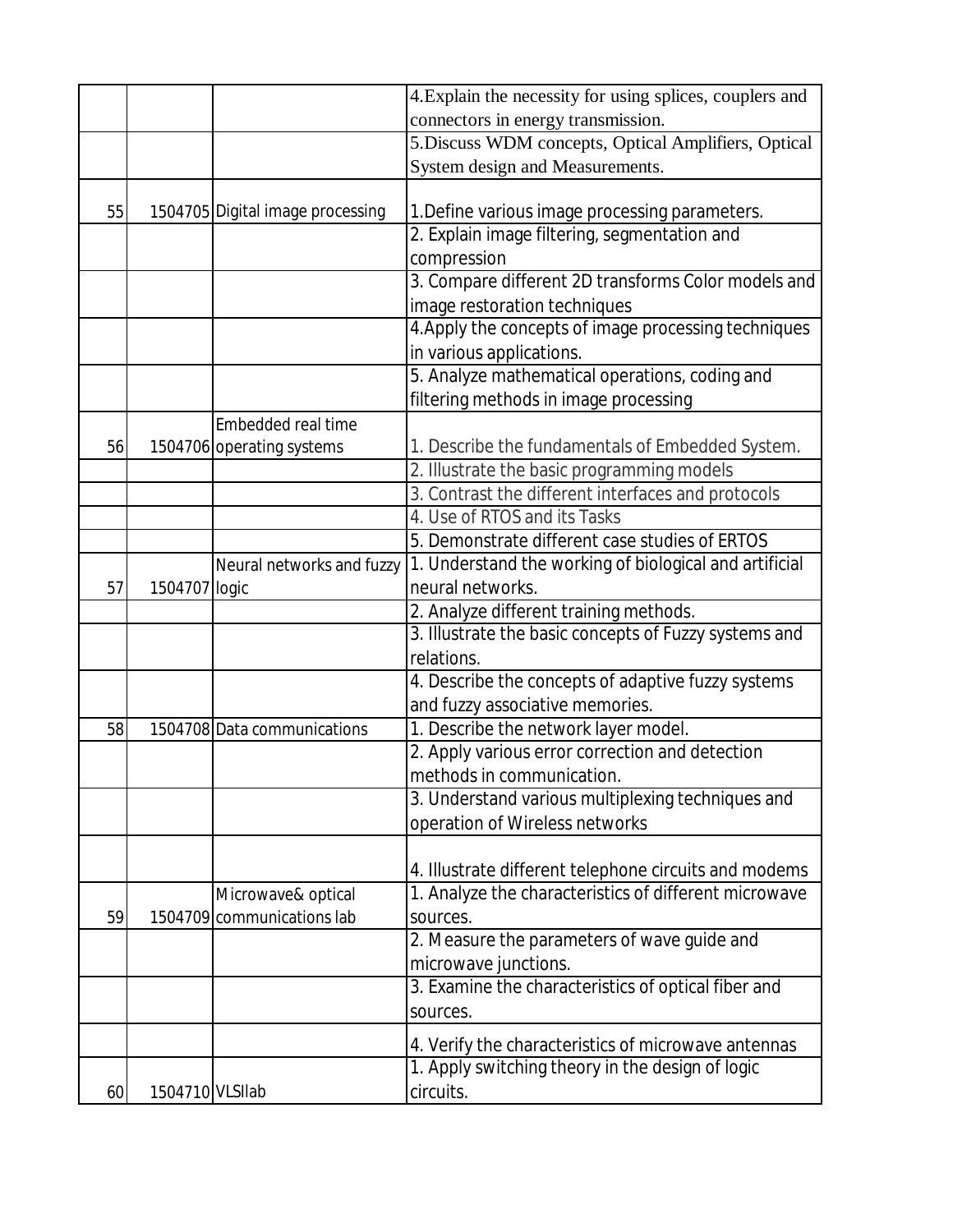|    |                 |                                  | 4. Explain the necessity for using splices, couplers and                                                                                                                                                    |
|----|-----------------|----------------------------------|-------------------------------------------------------------------------------------------------------------------------------------------------------------------------------------------------------------|
|    |                 |                                  | connectors in energy transmission.                                                                                                                                                                          |
|    |                 |                                  | 5. Discuss WDM concepts, Optical Amplifiers, Optical                                                                                                                                                        |
|    |                 |                                  | System design and Measurements.                                                                                                                                                                             |
|    |                 |                                  |                                                                                                                                                                                                             |
| 55 |                 | 1504705 Digital image processing | 1. Define various image processing parameters.                                                                                                                                                              |
|    |                 |                                  | 2. Explain image filtering, segmentation and                                                                                                                                                                |
|    |                 |                                  | compression                                                                                                                                                                                                 |
|    |                 |                                  | 3. Compare different 2D transforms Color models and                                                                                                                                                         |
|    |                 |                                  | image restoration techniques                                                                                                                                                                                |
|    |                 |                                  | 4. Apply the concepts of image processing techniques                                                                                                                                                        |
|    |                 |                                  | in various applications.                                                                                                                                                                                    |
|    |                 |                                  | 5. Analyze mathematical operations, coding and                                                                                                                                                              |
|    |                 |                                  |                                                                                                                                                                                                             |
|    |                 | Embedded real time               |                                                                                                                                                                                                             |
| 56 |                 | 1504706 operating systems        | 1. Describe the fundamentals of Embedded System.                                                                                                                                                            |
|    |                 |                                  |                                                                                                                                                                                                             |
|    |                 |                                  | 3. Contrast the different interfaces and protocols                                                                                                                                                          |
|    |                 |                                  | 4. Use of RTOS and its Tasks                                                                                                                                                                                |
|    |                 |                                  | 5. Demonstrate different case studies of ERTOS                                                                                                                                                              |
|    |                 | Neural networks and fuzzy        | 1. Understand the working of biological and artificial                                                                                                                                                      |
| 57 | 1504707 logic   |                                  | neural networks.                                                                                                                                                                                            |
|    |                 |                                  | 2. Analyze different training methods.                                                                                                                                                                      |
|    |                 |                                  | 3. Illustrate the basic concepts of Fuzzy systems and                                                                                                                                                       |
|    |                 |                                  | relations.                                                                                                                                                                                                  |
|    |                 |                                  | 4. Describe the concepts of adaptive fuzzy systems                                                                                                                                                          |
|    |                 |                                  | and fuzzy associative memories.                                                                                                                                                                             |
| 58 |                 | 1504708 Data communications      | 1. Describe the network layer model.                                                                                                                                                                        |
|    |                 |                                  | 2. Apply various error correction and detection                                                                                                                                                             |
|    |                 |                                  | methods in communication.                                                                                                                                                                                   |
|    |                 |                                  | 3. Understand various multiplexing techniques and                                                                                                                                                           |
|    |                 |                                  | operation of Wireless networks                                                                                                                                                                              |
|    |                 |                                  |                                                                                                                                                                                                             |
|    |                 |                                  | 4. Illustrate different telephone circuits and modems                                                                                                                                                       |
|    |                 | Microwave& optical               | 1. Analyze the characteristics of different microwave                                                                                                                                                       |
| 59 |                 | 1504709 communications lab       | sources.                                                                                                                                                                                                    |
|    |                 |                                  | 2. Measure the parameters of wave guide and                                                                                                                                                                 |
|    |                 |                                  | microwave junctions.                                                                                                                                                                                        |
|    |                 |                                  | 3. Examine the characteristics of optical fiber and                                                                                                                                                         |
|    |                 |                                  | sources.                                                                                                                                                                                                    |
|    |                 |                                  |                                                                                                                                                                                                             |
|    |                 |                                  |                                                                                                                                                                                                             |
|    |                 |                                  |                                                                                                                                                                                                             |
| 60 | 1504710 VLSIIab |                                  | filtering methods in image processing<br>2. Illustrate the basic programming models<br>4. Verify the characteristics of microwave antennas<br>1. Apply switching theory in the design of logic<br>circuits. |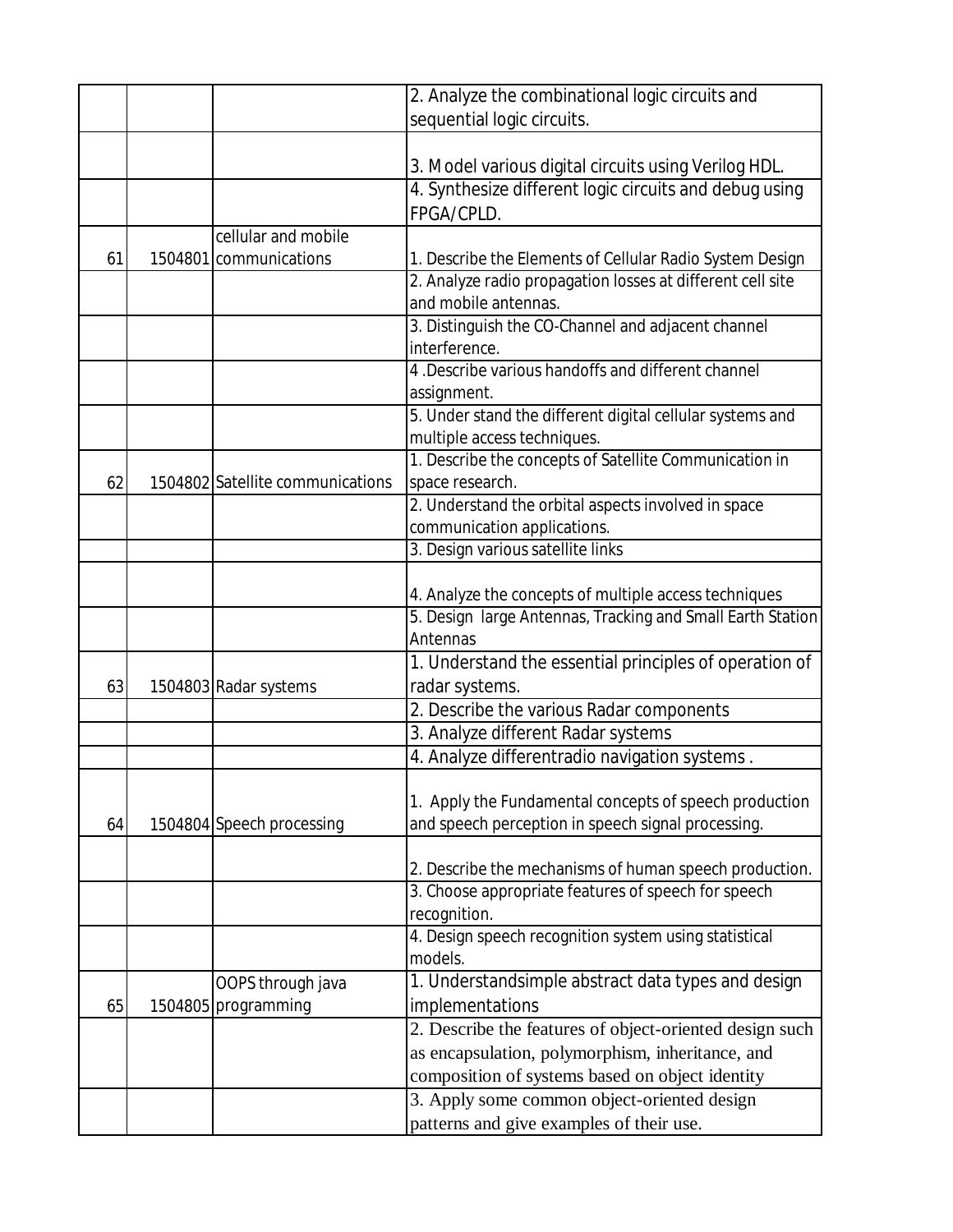|    |                                  | 2. Analyze the combinational logic circuits and            |
|----|----------------------------------|------------------------------------------------------------|
|    |                                  | sequential logic circuits.                                 |
|    |                                  |                                                            |
|    |                                  | 3. Model various digital circuits using Verilog HDL.       |
|    |                                  | 4. Synthesize different logic circuits and debug using     |
|    |                                  | FPGA/CPLD.                                                 |
|    | cellular and mobile              |                                                            |
| 61 | 1504801 communications           | 1. Describe the Elements of Cellular Radio System Design   |
|    |                                  | 2. Analyze radio propagation losses at different cell site |
|    |                                  | and mobile antennas.                                       |
|    |                                  | 3. Distinguish the CO-Channel and adjacent channel         |
|    |                                  | interference.                                              |
|    |                                  | 4. Describe various handoffs and different channel         |
|    |                                  | assignment.                                                |
|    |                                  | 5. Under stand the different digital cellular systems and  |
|    |                                  | multiple access techniques.                                |
|    |                                  | 1. Describe the concepts of Satellite Communication in     |
| 62 | 1504802 Satellite communications | space research.                                            |
|    |                                  | 2. Understand the orbital aspects involved in space        |
|    |                                  | communication applications.                                |
|    |                                  | 3. Design various satellite links                          |
|    |                                  |                                                            |
|    |                                  | 4. Analyze the concepts of multiple access techniques      |
|    |                                  | 5. Design large Antennas, Tracking and Small Earth Station |
|    |                                  | Antennas                                                   |
|    |                                  | 1. Understand the essential principles of operation of     |
| 63 | 1504803 Radar systems            | radar systems.                                             |
|    |                                  | 2. Describe the various Radar components                   |
|    |                                  | 3. Analyze different Radar systems                         |
|    |                                  | 4. Analyze differentradio navigation systems.              |
|    |                                  |                                                            |
|    |                                  | 1. Apply the Fundamental concepts of speech production     |
| 64 | 1504804 Speech processing        | and speech perception in speech signal processing.         |
|    |                                  |                                                            |
|    |                                  | 2. Describe the mechanisms of human speech production.     |
|    |                                  | 3. Choose appropriate features of speech for speech        |
|    |                                  | recognition.                                               |
|    |                                  | 4. Design speech recognition system using statistical      |
|    |                                  | models.                                                    |
|    | OOPS through java                | 1. Understandsimple abstract data types and design         |
| 65 | 1504805 programming              | implementations                                            |
|    |                                  | 2. Describe the features of object-oriented design such    |
|    |                                  | as encapsulation, polymorphism, inheritance, and           |
|    |                                  | composition of systems based on object identity            |
|    |                                  | 3. Apply some common object-oriented design                |
|    |                                  | patterns and give examples of their use.                   |